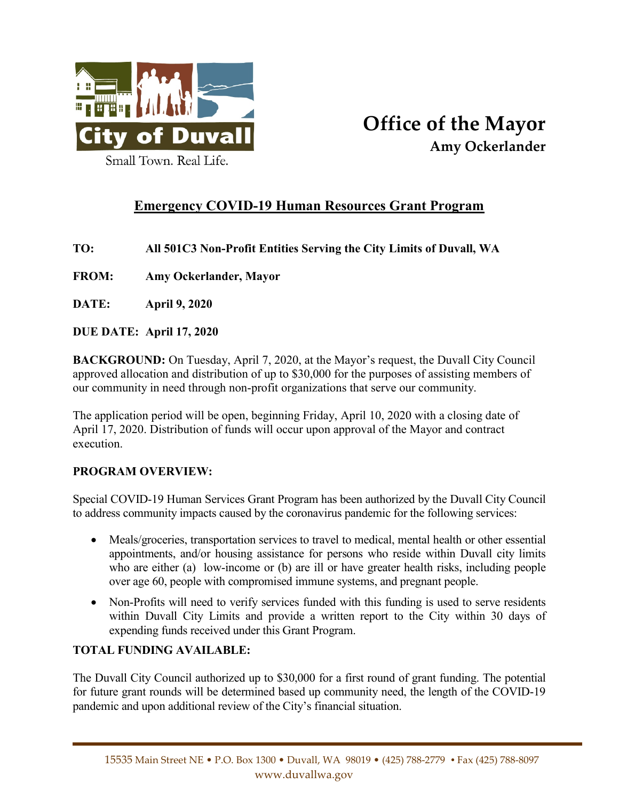

## Emergency COVID-19 Human Resources Grant Program

TO: All 501C3 Non-Profit Entities Serving the City Limits of Duvall, WA

FROM: Amy Ockerlander, Mayor

DATE: April 9, 2020

DUE DATE: April 17, 2020

BACKGROUND: On Tuesday, April 7, 2020, at the Mayor's request, the Duvall City Council approved allocation and distribution of up to \$30,000 for the purposes of assisting members of our community in need through non-profit organizations that serve our community.

The application period will be open, beginning Friday, April 10, 2020 with a closing date of April 17, 2020. Distribution of funds will occur upon approval of the Mayor and contract execution.

## PROGRAM OVERVIEW:

Special COVID-19 Human Services Grant Program has been authorized by the Duvall City Council to address community impacts caused by the coronavirus pandemic for the following services:

- Meals/groceries, transportation services to travel to medical, mental health or other essential appointments, and/or housing assistance for persons who reside within Duvall city limits who are either (a) low-income or (b) are ill or have greater health risks, including people over age 60, people with compromised immune systems, and pregnant people.
- Non-Profits will need to verify services funded with this funding is used to serve residents within Duvall City Limits and provide a written report to the City within 30 days of expending funds received under this Grant Program.

## TOTAL FUNDING AVAILABLE:

The Duvall City Council authorized up to \$30,000 for a first round of grant funding. The potential for future grant rounds will be determined based up community need, the length of the COVID-19 pandemic and upon additional review of the City's financial situation.